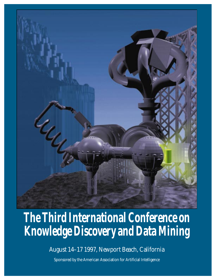

# **The Third International Conference on Knowledge Discovery and Data Mining**

August 14–17 1997, Newport Beach, California

Sponsored by the American Association for Artificial Intelligence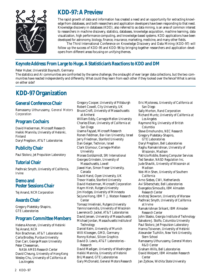

# **KDD-97: A Preview**

The rapid growth of data and information has created a need and an opportunity for extracting knowledge from databases, and both researchers and application developers have been responding to that need. Knowledge discovery in databases (KDD), also referred to as data mining, is an area of common interest to researchers in machine discovery, statistics, databases, knowledge acquisition, machine learning, data visualization, high performance computing, and knowledge-based systems. KDD applications have been developed for astronomy, biology, finance, insurance, marketing, medicine, and many other fields.

The Third International Conference on Knowledge Discovery and Data Mining (KDD-97) will follow up the success of KDD-95 and KDD-96 by bringing together researchers and application developers from different areas focusing on unifying themes.

# *Keynote Address:* **From Large to Huge. A Statistician's Reactions to KDD and DM**

#### Peter Huber, *Universität Bayreuth,* Germany

The statistics and AI communities are confronted by the same challenge, the onslaught of ever larger data collections, but the two communities have reacted independently and differently. What could they learn from each other if they looked over the fence? What is amiss on either side?

# **KDD-97 Organization**

## **General Conference Chair**

Ramasamy Uthurusamy, *General Motors Corporation*

## **Program Cochairs**

David Heckerman, *Microsoft Research* Heikki Mannila, *University of Helsinki,* Finland Daryl Pregibon, *AT&T Laboratories*

## **Publicity Chair**

Paul Stolorz, *Jet Propulsion Laboratory*

## **Tutorial Chair**

Padhraic Smyth, *University of California, Irvine*

#### **Demo and Poster Sessions Chair**

Tej Anand, *NCR Corporation*

## **Awards Chair**

Gregory Piatetsky-Shapiro, *GTE Laboratories*

#### **Program Committee Members**

Helena Ahonen, *University of Helsinki* Tej Anand, *NCR* Ron Brachman, *AT&T Laboratories* Carla Brodley, *Purdue University* Dan Carr, *George Mason University* Peter Cheeseman, *NASA AMES Research Center* David Cheung, *University of Hong Kong* Wesley Chu, *University of California at Los Angeles*

Gregory Cooper, *University of Pittsburgh* Robert Cowell, *City University,* UK Bruce Croft, *University of Massachusetts at Amherst* William Eddy, *Carnegie Mellon University* Charles Elkan, *University of California at San Diego* Usama Fayyad, *Microsoft Research* Ronen Feldman, *Bar-Ilan University,* Israel Jerry Friedman, *Stanford University* Dan Geiger, *Technion,* Israel Clark Glymour, *Carnegie-Mellon University* Moises Goldszmidt, *SRI International* Georges Grinstein, *University of Massachusetts, Lowell* Jiawei Han, *Simon Fraser University,* Canada David Hand, *Open University,* UK Trevor Hastie, *Stanford University* David Heckerman, *Microsoft Corporation* Haym Hirsh, *Rutgers University* Jim Hodges, *University of Minnesota* Se June Hong, *IBM T .J. Watson Research Center* Tomasz Imielinski, *Rutgers University* Yannis Ioannidis, *University of Wisconsin* Lawrence D. Jackel, *AT&T Laboratories* David Jensen, *University of Massachusetts* Michael Jordan, *Massachusetts Institute of Technology* Daniel Keim, *University of Munich* Willi Kloesgen, *GMD,* Germany Ronny Kohavi, *Silicon Graphics* David D. Lewis, *AT&T Laboratories – Research* David Madigan, *University of Washington* Heikki Mannila, *University of Helsinki* Brij Masand, *GTE Laboratories* Gary McDonald, *General Motors Research*

Eric Mjolsness, *University of California at San Diego* Sally Morton, *Rand Corporation* Richard Muntz, *University of California at Los Angeles* Raymond Ng, *University of British Columbia* Steve Omohundro, *NEC Research* Gregory Piatetsky-Shapiro, *GTE Laboratories* Daryl Pregibon, *Bell Laboratories* Raghu Ramakrishnan, *University of Wisconsin, Madison* Patricia Riddle, *Boeing Computer Services* Ted Senator, *NASD Regulation Inc.* Jude Shavlik, *University of Wisconsin at Madison* Wei-Min Shen, *University of Southern California* Arno Siebes, *CWI,* Netherlands Avi Silberschatz, *Bell Laboratories* Evangelos Simoudis, *IBM Almaden Research Center* Andrzej Skowron, *University of Warsaw* Padhraic Smyth, *University of California at Irvine* Ramakrishnan Srikant, *IBM Almaden Research Center* John Stasko, *Georgia Institute of Technology* Salvatore J. Stolfo, *Columbia University* Paul Stolorz, *Jet Propulsion Laboratory* Hanna Toivonen, *University of Helsinki* Alexander Tuzhilin, *New York University, Stern School* Ramasamy Uthurusamy, *General Motors R&D Center* Graham Wills, *Bell Laboratories* David Wolpert, *IBM Almaden Research Center* Jan Zytkow, *Wichita State University*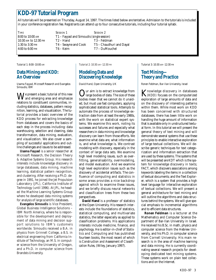# **KDD-97 Tutorial Program**

All tutorials will be presented on Thursday, August 14, 1997. The times listed below are tentative. Admission to the tutorials is included in your conference registration fee. Registrants can attend up to four consecutive tutorials, including four tutorial syllabi.

TIME SESSION 1 SESSION 2

- 8:00 to 10:00 AM T1 Fayyad and Simoudis *(single session)* 10:30 AM to 12:30 PM T2 – Hand T3 – Feldman 1:30 to 3:30 PM T4 – Swayne and Cook T5 – Chaudhuri and Dayal<br>4:00 to 6:00 PM T6 – Keim T7 – DuMouchel 4:00 to 6:00 PM T6 – Keim T7 – DuMouchel
	-

*Tutorial 1: 8:00–10:00 AM*

#### **Data Mining and KDD: An Overview**

*Usama Fayyad, Microsoft Research and Evangelos Simoudis, IBM*

We present a basic tutorial of this new and emerging area and emphasize relations to constituent communities, including statistics, databases, pattern recognition, learning, and visualization. The tutorial provides a basic overview of the KDD process for extracting knowledge from databases and covers the basics of each step in the process including: data warehousing, selection and cleaning, data transformation, data mining, evaluation, and visualization. We also cover a sampling of successful applications and outline challenges and issues to be addressed.

**Usama Fayyad** is a senior researcher at Microsoft Research, the Decision Theory & Adaptive Systems Group. His research interests include knowledge discovery in large databases, data mining, machine learning, statistical pattern recognition, and clustering. After receiving a Ph.D. degree in 1991, he joined the Jet Propulsion Laboratory (JPL), California Institute of Technology (until 1996). At JPL, he headed the Machine Learning Systems Group where he developed data mining systems for analysis of large scientific databases.

**Evangelos Simoudis** is Vice President, Global Business Intelligence Solutions – IBM North America, where he is responsible for the development and deployment of data mining and decision support solutions to IBM's customers worldwide. Simoudis received a B.A. in physics from Grinnell College, a B.S. in electrical engineering from California Institute of Technology, an M.S. in computer science from the University of Oregon, and a Ph.D. in computer science from Brandeis University.

*Tutorial 2: 10:30 AM–12:30 PM*

## **Modeling Data and Discovering Knowledge**

*David Hand, Open University, UK*

Our aim is to extract knowledge from<br>large bodies of data. The size of these bodies mean that we cannot do it unaided, but must use fast computers, applying sophisticated statistical tools. Attempts to automate the process of knowledge extraction date from at least the early 1980s, with the work on statistical expert systems. We examine this work, noting its successes and failures and especially what researchers in data mining and knowledge discovery can learn from those efforts. We examine what data are, what information is, and what knowledge is. We contrast modeling with discovery, especially in the context of large data sets. We examine high level modeling issues, such as overfitting, generalisability, overmodeling, and model evaluation. And we examine high level exploration issues such as the discovery of accidental artifacts. The confluence of computing and statistics in some areas provides a nice backdrop against which to examine these issues, and we briefly discuss neural networks and classification trees from these two perspectives.

**David Hand** is a professor of statistics at the Open University. His research interests include the foundations of statistics, statistical computing, and multivariate statistics, the latter especially as applied to classification problems. His applications interests include medicine, finance, and psychology. He is editor-in-chief of *Statistics and Computing* and has published fourteen books, the most recent of which is *Construction and Assessment of Classification Rules,* (Wiley, January 1997).

*Tutorial 3: 10:30 AM–12:30 PM*

## **Text Mining— Theory and Practice**

*Ronen Feldman, Bar-Ilan University, Israel*

Knowledge discovery in databases (KDD) focuses on the computerized exploration of large amounts of data and on the discovery of interesting patterns within them. While most work on KDD has been concerned with structured databases, there has been little work on handling the huge amount of information that is available only in unstructured textual form. In this tutorial we will present the general theory of text mining and will demonstrate several systems that use these principles to enable interactive exploration of large textual collections. We will describe generic techniques for text categorization and information extraction that are used by these systems. The systems that will be presented are KDT which is the system for knowledge discovery in texts; FACT, which discovers associations among keywords labeling the items in a collection of textual documents; and the Text Explorer, which is a system that provides a high level language for interactive exploration of textual collections. We will present a general architecture for text mining and will outline the algorithms and data structures behind the systems. We will give special emphasis to incremental algorithms and to efficient data structures.

**Ronen Feldman** is a lecturer at the Mathematics and Computer Science Department of Bar-Ilan University in Israel. He received his B.Sc. in math, physics and computer science from the Hebrew University, and his Ph.D. in computer science from Cornell University. His main research is in the area of machine learning and data mining. He is currently coordinating several research projects for developing dedicated text mining systems. These systems work on plain text collections and on the Internet.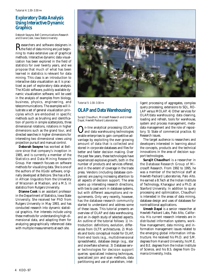#### **Exploratory Data Analysis Using Interactive Dynamic Graphics**

*Deborah Swayne, Bell Communications Research and Diane Cook, Iowa State University*

Researchers and software designers in the field of data mining are just beginning to make extensive use of graphical methods. Interactive dynamic data visualization has been explored in the field of statistics for over twenty years, and we propose that much of what has been learned in statistics is relevant for data mining. This class is an introduction to interactive data visualization as it is practiced as part of exploratory data analysis. The XGobi software, publicly available dynamic visualization software, will be used in the analysis of examples from biology, business, physics, engineering, and telecommunications. The examples will illustrate a set of general visualization principles which are embodied in specific methods such as brushing and identification of points in simple scatterplots, three dimensional rotations, rotations in higher dimensions such as the grand tour, and directed searches in higher dimensions for interesting two dimensional views using projection pursuit and manual control.

**Deborah Swayne** has worked at Bellcore since that company's inception in 1985, and is currently a member of the Statistics and Data Mining Research Group. Her research focuses on software methods for visualizing data. She is one of the authors of the XGobi software, originally developed at Bellcore. She has a B.A. in African linguistics from the University of Wisconsin at Madison, and a M.S. in statistics from Rutgers University.

**Dianne Cook** is an assistant professor in the Department of Statistics, Iowa State University. She received her PhD from Rutgers University in May 1993, and has conducted research into dynamic statistical graphics. Her interests include using these methods for understanding high-dimensional data, and adapting them for analyzing geographically referenced data with multiple measurements at each site.



*Tutorial 5: 1:30–3:30 PM*

# **OLAP and Data Warehousing**

*Surajit Chaudhuri, Microsoft Research and Umesh Dayal, Hewlett Packard Laboratories*

On-line analytical processing (OLAP) and data warehousing technologies enable enterprises to gain competitive advantage by exploiting the ever-growing amount of data that is collected and stored in corporate databases and files for better and faster decision making. Over the past few years, these technologies have experienced explosive growth, both in the number of products and services offered, and in the extent of coverage in the trade press. Vendors (including database companies) are paying increasing attention to all aspects of decision support. The area opens up interesting research directions, with ties to past work in database systems, but with different assumptions and requirements. Only very recently, however, has the database research community started to understand and address some of these issues. This tutorial presents an overview of OLAP and data warehousing, and an in-depth study of selected aspects. An outline of the tutorial follows: 1) Introduction: definitions, evolution, differences from OLTP, architectures. 2) Models and tools: conceptual model for OLAP, front-end tools (e.g., multidimensional spreadsheets), database design (e.g., star and snowflake schema). 3) Database server technologies for decision support queries: specialized indexing techniques, specialized join and scan methods, data partitioning and use of parallelism, intel-

ligent processing of aggregates, complex query processing, extensions to SQL, RO-LAP versus MOLAP. 4) Other services for OLAP/data warehousing: data cleaning, loading and refresh, tools for warehouse, system and process management, metadata management and the role of repository. 5) State of commercial practice. 6) Research issues.

The target audience is researchers and developers interested in learning about the concepts, products and the technical innovations in the area of decision support technologies.

**Surajit Chaudhuri** is a researcher in the Database Research Group of Microsoft Research. From 1992 to 1995, he was a member of the technical staff at Hewlett-Packard Laboratories, Palo Alto. He earned a B.Tech at the Indian Institute of Technology, Kharagpur and a Ph.D. at Stanford University. In addition to query processing and optimization, Chaudhuri is interested in the areas of data mining, database design and uses of databases for nontraditional applications.

**Umesh Dayal** is a senior researcher at Hewlett-Packard Labs, Palo Alto, California. His current research interests are in distributed information systems, workflow management, data mining, and information management issues related to the emerging global information infrastructure. He received his Ph.D. and S.M. degrees from Harvard University, his M.E. and B.E. degrees from the Indian Institute of Science, and his B.S. degree from Osmania University, India.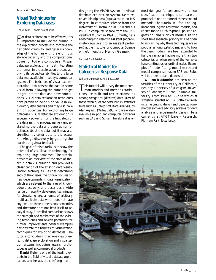## **Visual Techniques for Exploring Databases**

*Daniel Keim, University of Munich* 

For data exploration to be effective, it is important to include the human in the exploration process and combine the flexibility, creativity, and general knowledge of the human with the enormous storage capacity and the computational power of today's computers. Visual database exploration aims at integrating the human in the exploration process, applying its perceptual abilities to the large data sets available in today's computer systems. The basic idea of visual data exploration is to present the data in some visual form, allowing the human to get insight into the data and draw conclusions. Visual data exploration techniques have proven to be of high value in exploratory data analysis and they also have a high potential for exploring large databases. Visual database exploration is especially powerful for the first steps of the data mining process, namely understanding the data and generating hypotheses about the data, but it may also significantly contribute to the actual knowledge discovery by guiding the search using visual feedback.

The goal of this tutorial is to show the potential of visualization technology for exploring large databases. The tutorial provides an overview of the state-of-theart in data visualization and provides a classification of the existing data visualization techniques. Besides describing each of the classes, the tutorial focuses on new developments in data visualization, which are relevant to the area of knowledge discovery, and describes a wide range of recently developed techniques for visualizing large amounts of arbitrary multi-attribute data which does not have any two- or three-dimensional semantics and therefore does not lend itself to an easy display. A detailed comparison shows the strength and weaknesses of the existing techniques and reveals potentials for further improvements. Several examples demonstrate the benefits of visualization techniques for exploring databases. The tutorial concludes with an overview of existing database exploration and visualization systems, including research prototypes as well as commercial products.

**Daniel Keim** is one of the leading experts in the field of visual database exploration, and he was the chief engineer in

designing the VisDB system—a visual database exploration system. Keim received his diploma (equivalent to an MS degree) in computer science from the University of Dortmund in 1990 and his Ph.D. in computer science from the University of Munich in 1994. Currently, he is a teaching and research assistant (approximately equivalent to an assistant professor) at the Institute for Computer Science of the University of Munich, Germany.

*Tutorial 7: 4:00–6:00 PM*

#### **Statistical Models for Categorical Response Data**

*William DuMouchel, AT&T Research*

This tutorial will survey the most com-mon models and methods statisticians use to fit and test relationships among categorical (discrete) data. Most of these techniques are described in statistics texts such as *Categorical Data Analysis,* by Alan Agresti, (Wiley 1990) and are widely available in popular computer packages such as SAS and Splus. Therefore it is almost *de rigeur* for someone with a new classification technique to compare the proposal to one or more of these standard methods. The tutorial will focus on loglinear and logistic regression models, and related models such as probit, poisson regression, and survival models. In the short time available, priority will be given to explaining why these techniques are so popular among statisticians, and to how the basic models have been extended to handle variables having more than two categories or when some of the variables have continuous or ordinal scales. Examples of model fitting, model search and model comparison using SAS and Splus will be presented and discussed.

**William DuMouchel** has been on the faculties of the University of California, Berkeley; University of Michigan; University of London; MIT; and Columbia University. From 1987 to 1992 he was chief statistical scientist at BBN Software Products, helping to design and develop commercial software advisory systems for data analysis and experimental design. He is currently at AT&T Labs – Research, Florham Park, New Jersey.

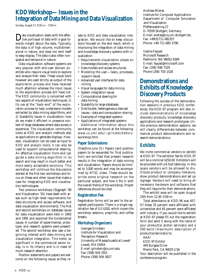# **KDD Workshop—Issues in the Integration of Data Mining and Data Visualization**

*Sunday, August 17, 8:30 AM – 5:00 PM*

Data visualization deals with the effec-<br>tive portrayal of data with a goal towards insight about the data. Typically, the data is of high volume, multidimensional in nature, and does not lend itself to easy display. The data is also often nonspatial and temporal in nature.

Data visualization software systems are very popular with end-user domain scientists who require visual tools to explore and analyze their data. These visual tools however are used strictly as output of the exploration process and have received much attention whereas the input issues to the exploration process still have not. The KDD community is concerned with two aspects of visualization techniques: 1) Its use at the "back-end" of the exploration process to help understand models extracted by data mining algorithms, and 2) Scalability issues in visualization: how do we make it efficient in presence context of large databases where data access is expensive. The visualization community looks at KDD and analytic methods also as applications to generate displays. However, visualization can be used as input to KDD and analytic tools; it can also be used to support computational steering. An effective visualization front-end can guide a data mining algorithm in its search and may result in much better and more easily acceptable solutions. This workshop will continue the discussions started at the first two workshops and focus on these and other issues that make a case for integrating KDD and visualization technologies.

Two previous workshops (Siggraph '90 and Visualization '91) have dealt with areas such as high-level requirements for data structures and access software, and data visualization environments. The first and second workshops on database issues for data visualization were held in 1993 and 1995 and explored the fundamental issues. A number of experimental, prototype, and research systems were presented. The second workshop also saw a beginning interest with data mining and visualization integration. This trend, so significant in the commercial sector today, is in its infancy and is in need of much research attention.

Position statements and papers are welcome on the following issues as they relate to KDD and data visualization integration. We would like to keep discussions focused on the end result, which is improving the integration of data mining and knowledge discovery systems with visualization:

- Requirements visualization places on knowledge discovery systems
- Data models and access structures
- Modeling the user—tasks, processes, support issues
- Advanced user interfaces for data mining
- Visual languages for data mining
- System integration issues
- Computational steering for data mining
- Scalability to large databases
- Distributed, heterogeneous data set issues—data and computation sharing
- Examples of integrated systems
- Applications of integrated systems Additional information about this workshop can be found at the following: www.cs.uml.edu/~grinstei/kddvisworkshop.html

#### **Paper Submissions**

*(Deadline June 15.)* Papers (and position papers to be expanded for final publication) are solicited that present research results in the integration of data mining and visualization. Papers should be limited to 5,000 words and may be accompanied by NTSC video. These should describe some original research on the particular subject, and how it fits in with the overall theme of the workshop. Proper references should be cited.

#### **Registration Fee**

Registration forms will be sent to the accepted participants. There is a single registration fee of US \$100, which covers the workshop sessions, preprints, and coffee breaks.

#### **Workshop Organizers**

Georges Grinstein Institute for Visualization and Perception Research University of Massachusetts at Lowell Lowell, MA 01854 E-mail: grinstein@cs.uml.edu Fax: (508) 934-3551 Phone: (508) 934-3627

Andreas Wierse Institute for Computer Applications Department of Computer Simulation and Visualization Pfaffenwaldring 27 D-70550 Stuttgart, Germany E-mail: wierse@rus.uni-stuttgart.de, Fax: +49(0)711-682357 Phone: +49-711-685-5796

Usama Fayyad Microsoft Research Redmond, WA 98052-6399 E-mail: fayyad@microsoft.com Fax: (206) 936-7329 Phone (206) 703-1528

# **Demonstrations and Exhibits of Knowledge Discovery Products**

Following the success of the demonstration sessions in previous KDD conferences, the KDD-97 program will also include demonstrations of knowledge discovery products, knowledge discovery applications and research prototypes. Unlike previous demonstration sessions, we will clearly differentiate between commercial product demonstrations and research demonstrations.

## **Exhibits**

We invite commercial vendors to exhibit at KDD-97. The exhibitor fee for KDD-97 will be a nominal \$250.00. Exhibitors will be provided with a 6 foot table top. In this space vendors will be allowed to distribute product or company literature, show product demonstrations and set up signage. Vendors will need to bring all necessary hardware and software that they will require for their demonstrations.

The exhibit area will be open August 15th from 12:30–5:00 PM.

Total attendance at KDD-96 was 457. Of these 35 percent were affiliated with universities and 65 percent were affiliated with industry. If you would like to exhibit at KDD-97 please fill out the registration form and send it along with the name of your product(s) and/or service(s) and a 200 word (maximum) description of product(s)/service(s) to:

AAAI KDD-97 Exhibit 445 Burgess Drive Menlo Park, CA 94025 USA Your description will be published in the conference program.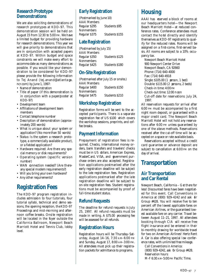#### **Research Prototype Demonstrations**

We are also soliciting demonstrations of research prototypes at KDD-97. This demonstration session will be held on August 15 from 12:30 to 5:00 PM. We have a limited budget for providing hardware for research demonstrations. This year we will give priority to demonstrations that are in conjunction with accepted papers at KDD-97. Within budget and space constraints we will make every effort to accommodate as many demonstrations as possible. If you would like your demonstration to be considered for KDD-97 please provide the following information to Tej Anand (tej.anand@atlanta ga. ncr.com) by June 1, 1997:

- Name of demonstration
- Title of paper (if this demonstration is in conjunction with a paper/poster at KDD-97)
- Development team
- Affiliations of development team members
- Contact telephone number
- Description of demonstration (approximately 200 words)
- What is unique about your system or application? (No more than 50 words)
- Status: Is the system a research prototype, a commercially available product, or a fielded application?
- Hardware required: Are there any special memory or disk requirements?
- Operating system (specific version number)
- WAN connection needed? (Are thereany special modem requirements?)
- Will you bring your own hardware?
- Any other requirements?

# **Registration Fees**

The KDD-97 program registration includes admission to four tutorials, four tutorial syllabi, technical and demo sessions, the opening reception, the*KDD-97 Proceedings* and mid-morning and afternoon coffee breaks. Onsite registration will be located in the foyer outside the California Ballroom, Newport Beach Marriott Hotel and Tennis Club, lobby level.

## **Early Registration**

| (Postmarked by June 10) |  |
|-------------------------|--|
|                         |  |
| Students \$95           |  |
|                         |  |
| Students \$155          |  |
|                         |  |

#### **Late Registration**

(Postmarked by July 15) *AAAI Members* Regular \$350 Students \$125 *Nonmembers* Regular \$425 Students \$180

# **On-Site Registration**

(Postmarked after July 15 or onsite.) *AAAI Members* Regular \$400 Students \$150 *Nonmembers* Regular \$475 Students \$210

## **Workshop Registration**

Registration forms will be sent to the accepted participants. There is a separate registration fee of US \$100 which covers the workshop sessions, preprints, and coffee breaks.

## **Payment Information**

Prepayment of registration fees is required. Checks, international money orders, bank transfers and travelers' checks must be in US dollars. American Express, MasterCard, VISA, and government purchase orders are also accepted. Registration applications postmarked after the early registration deadline will be subject to the la te registration fees. Registration applications postmarked after the la te registration deadline will be subject to on-site registration fees. Student registrations must be accompanied by proof of full-time student status.

## **Refund Requests**

The deadline for refund requests is July 25, 1997. All refund requests must be made in writing. A \$75.00 processing fee will be assessed for all refunds.

#### **Registration Hours**

Registration hours will be Thursday–Saturday, August 14-16, 7:30 AM-6:00 PM and Sunday, August 17, 8:00 AM–3:00 PM. All attendees must pick up their registration packets for admittance to programs.

# **Housing**

AAAI has eserved a block of rooms at our headquarters hotel—the Newport Beach Marriott Hotel—at reduced conference rates. Conference attendees must contact the ho tel directly and identify themselves as KDD-97 registrants to qualify for the reduced rates. Rooms will be assigned on a first-come, first-served basis. All rooms are subject to a 10% occupancy tax.

Newport Beach Marriott Hotel 900 Newport Center Drive Newport Beach, CA 92660 Phone: (714) 640-4000 Fax: (714) 640-4918 Single: \$105.00 (1 person, 1 bed) Double: \$115.00 (2 persons, 2 beds) Check-in time: 4:00 PM Check-out time:  $12:00$  n  $\infty$ n Cut-off date for reservations: July 24, 1997.

All reservation requests for arrival after 6:00 PM must be accompanied by a first night room deposit, or guaranteed with a major credit card. The Newport Beach Marriott Hotel will not hold any reservations after 6:00 PM unless guaranteed by one of the above methods. Reservations received after the cut-off time will be accepted on a space or rate available basis.

Reservations accepted without a credit card guarantee or advance deposit are subject to cancellation at 6:00 PM on the day of arrival.

# **Transportation**

#### **Air Transportation and Car Rental**

Newport Beach, California – G et there for less! Discounted fares have been negotiated for this event. Call Conventions in America at (800) 929-4242 and ask 6r Group #428. You will receive five to ten percent off the lowest applicable fares on American Airlines, or the guaranteed lowest available fare on any carrier. Travel between August 11-21, 1997. All attendees booking through CIA will receive free flight insurance and be entered in their bi-monthly drawing for worldwide travel for two on American Airlines! Hertz Rent A Car is also offering special low conference rates, with unlimited free mileage.

*Call Conventions in America:*  (800) 929-4242, ask for Group #428. *Reservation hours:*  M-F 6:30 AM–5:00 PM Pacific Time.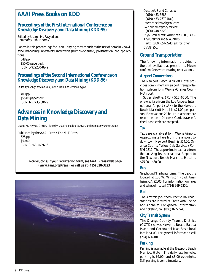# **AAAI Press Books on KDD**

## **Proceedings of the First International Conference on Knowledge Discovery and Data Mining (KDD-95)**

*Edited by Usama M. Fayyad and Ramasamy Uthurusamy* 

Papers in this proceedings focus on unifying themes such as the use of domain knowledge, managing uncertainty, interactive (human-oriented) presentation, and applications.

348 pp. \$50.00 paperback ISBN 0-929280-82-2

#### **Proceedings of the Second International Conference on Knowledge Discovery and Data Mining (KDD-96)**

*Edited by Evangelos Simoudis, Jia Wei Han, and Usama Fayyad* 

400 pp. \$55.00 paperback ISBN 1-57735-004-9

# **Advances in Knowledge Discovery and Data Mining**

*Usama M. Fayyad, Gregory Piatetsky-Shapiro, Padhraic Smyth, and Ramasamy Uthurusamy* 

Published by the AAAI Press / The MIT Press 625 pp. \$50.00 ISBN 0-262-56097-6

> *To order, consult your registration form, see AAAI Press's web page (www.aaai.org/Press/), or call us at (415) 328-3123*



*Outside US and Canada:* (619) 453-3686 (619) 453-7679 (fax). *Internet:* scitravel@aol.com *24-hour emergency service:*  (800) 748-5520. *If you call direct:* American (800) 433- 1790, ask for index #S 9485. *Hertz:* (800) 654-2240, ask for offer CV#24250.

## **Ground Transportation**

The following information provided is the best available at press time. Please confirm fares when making reservations.

#### **Airport Connections**

The Newport Beach Marriott Hotel provides complimentary airport transportation to/from John Wayne /Orange County Airport.

*Super Shuttle:* (714) 517-6600. The one-way fare from the Los Angeles International Airport (LAX) to the Newport Beach Marriott Hotel is \$21.00 per person. Reservations 24 hours in advance are recommended. Discover Card, traveller's checks and cash are accepted.

#### **Taxi**

Taxis are available at John Wayne Airport. Approximate fare from the airport to downtown Newport Beach is \$14.00. Orange County Yellow Cab Service: (714) 546-1311. The approximate taxi fare from the Los Angeles International Airport to the Newport Beach Marriott Hotel is  $$75.00 - $80.00.$ 

#### **Bus**

*Greyhound/Trailways Lines:* The depot is located at 100 W. Winston Road, Anaheim, CA 92805. For information on fares and scheduling, call (714) 999-1256.

#### **Rail**

The Amtrak (Southern Pacific Railroad) stations are located at Santa Ana, Irvine and Anaheim. For general information and ticketing, call (800) 872-7245.

#### **City Transit System**

The Orange County Transit District (OCTD) serves Newport Beach, Balboa Island and Corona del Mar. Basic local fare is \$1.00. For general information call (714) 636-RIDE.

#### **Parking**

Parking is available at the Newport Beach Marriott Hotel. The daily rate for valet parking is \$6.00, and \$8.00 overnight. Self-parking is complimentary.